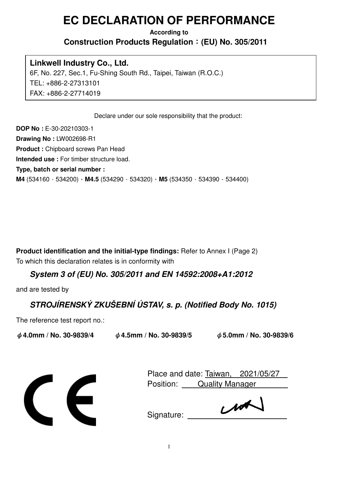# **EC DECLARATION OF PERFORMANCE**

#### **According to Construction Products Regulation**:**(EU) No. 305/2011**

#### **Linkwell Industry Co., Ltd.**

6F, No. 227, Sec.1, Fu-Shing South Rd., Taipei, Taiwan (R.O.C.) TEL: +886-2-27313101 FAX: +886-2-27714019

Declare under our sole responsibility that the product:

**DOP No :** E-30-20210303-1 **Drawing No :** LW002698-R1 **Product :** Chipboard screws Pan Head **Intended use :** For timber structure load. **Type, batch or serial number : M4** (534160、534200),**M4.5** (534290、534320),**M5** (534350、534390、534400)

**Product identification and the initial-type findings:** Refer to Annex I (Page 2) To which this declaration relates is in conformity with

## **System 3 of (EU) No. 305/2011 and EN 14592:2008+A1:2012**

and are tested by

# **STROJÍRENSKÝ ZKUŠEBNÍ ÚSTAV, s. p. (Notified Body No. 1015)**

The reference test report no.:

ψ**4.0mm / No. 30-9839/4** ψ**4.5mm / No. 30-9839/5** ψ**5.0mm / No. 30-9839/6**



Place and date: Taiwan, 2021/05/27 Position: Quality Manager

 $u^{\star}$ Signature: